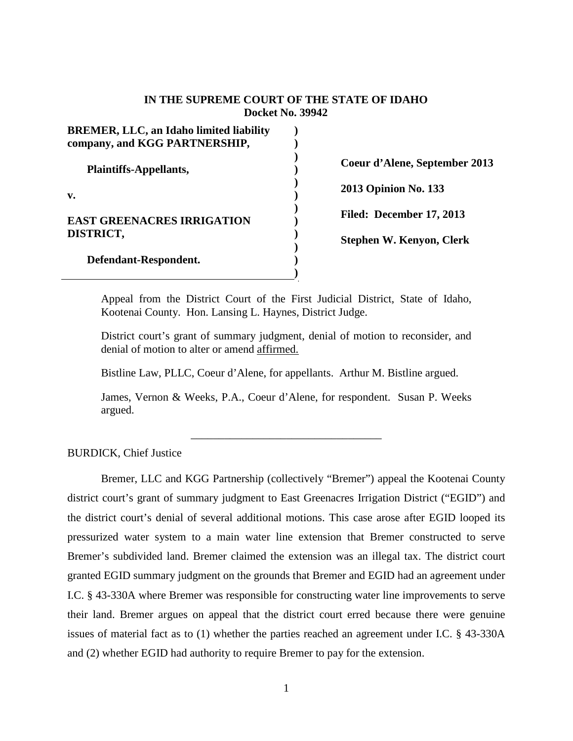## **IN THE SUPREME COURT OF THE STATE OF IDAHO Docket No. 39942**

| <b>BREMER, LLC, an Idaho limited liability</b><br>company, and KGG PARTNERSHIP, |  |
|---------------------------------------------------------------------------------|--|
| Plaintiffs-Appellants,                                                          |  |
| v.                                                                              |  |
| <b>EAST GREENACRES IRRIGATION</b><br>DISTRICT,                                  |  |
| Defendant-Respondent.                                                           |  |

**Coeur d'Alene, September 2013** 

**2013 Opinion No. 133**

**Filed: December 17, 2013**

**Stephen W. Kenyon, Clerk**

Appeal from the District Court of the First Judicial District, State of Idaho, Kootenai County. Hon. Lansing L. Haynes, District Judge.

District court's grant of summary judgment, denial of motion to reconsider, and denial of motion to alter or amend affirmed.

Bistline Law, PLLC, Coeur d'Alene, for appellants. Arthur M. Bistline argued.

James, Vernon & Weeks, P.A., Coeur d'Alene, for respondent. Susan P. Weeks argued.

\_\_\_\_\_\_\_\_\_\_\_\_\_\_\_\_\_\_\_\_\_\_\_\_\_\_\_\_\_\_\_\_\_\_

# BURDICK, Chief Justice

Bremer, LLC and KGG Partnership (collectively "Bremer") appeal the Kootenai County district court's grant of summary judgment to East Greenacres Irrigation District ("EGID") and the district court's denial of several additional motions. This case arose after EGID looped its pressurized water system to a main water line extension that Bremer constructed to serve Bremer's subdivided land. Bremer claimed the extension was an illegal tax. The district court granted EGID summary judgment on the grounds that Bremer and EGID had an agreement under I.C. § 43-330A where Bremer was responsible for constructing water line improvements to serve their land. Bremer argues on appeal that the district court erred because there were genuine issues of material fact as to (1) whether the parties reached an agreement under I.C. § 43-330A and (2) whether EGID had authority to require Bremer to pay for the extension.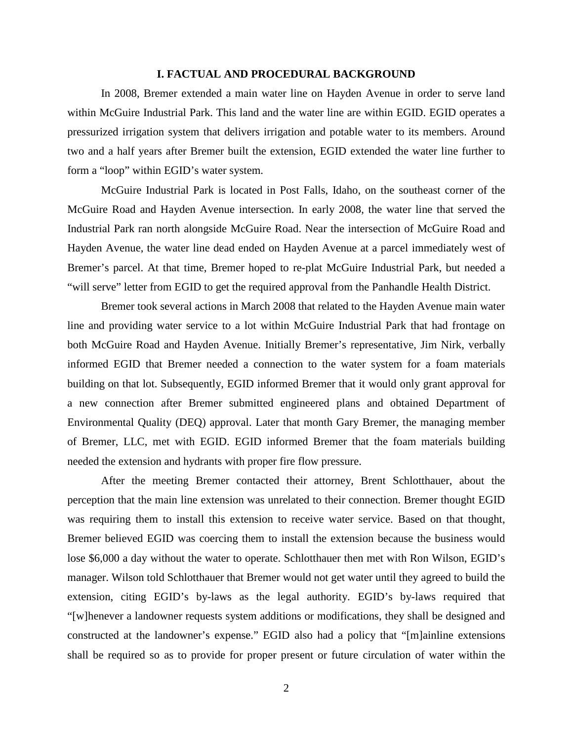#### **I. FACTUAL AND PROCEDURAL BACKGROUND**

In 2008, Bremer extended a main water line on Hayden Avenue in order to serve land within McGuire Industrial Park. This land and the water line are within EGID. EGID operates a pressurized irrigation system that delivers irrigation and potable water to its members. Around two and a half years after Bremer built the extension, EGID extended the water line further to form a "loop" within EGID's water system.

McGuire Industrial Park is located in Post Falls, Idaho, on the southeast corner of the McGuire Road and Hayden Avenue intersection. In early 2008, the water line that served the Industrial Park ran north alongside McGuire Road. Near the intersection of McGuire Road and Hayden Avenue, the water line dead ended on Hayden Avenue at a parcel immediately west of Bremer's parcel. At that time, Bremer hoped to re-plat McGuire Industrial Park, but needed a "will serve" letter from EGID to get the required approval from the Panhandle Health District.

Bremer took several actions in March 2008 that related to the Hayden Avenue main water line and providing water service to a lot within McGuire Industrial Park that had frontage on both McGuire Road and Hayden Avenue. Initially Bremer's representative, Jim Nirk, verbally informed EGID that Bremer needed a connection to the water system for a foam materials building on that lot. Subsequently, EGID informed Bremer that it would only grant approval for a new connection after Bremer submitted engineered plans and obtained Department of Environmental Quality (DEQ) approval. Later that month Gary Bremer, the managing member of Bremer, LLC, met with EGID. EGID informed Bremer that the foam materials building needed the extension and hydrants with proper fire flow pressure.

After the meeting Bremer contacted their attorney, Brent Schlotthauer, about the perception that the main line extension was unrelated to their connection. Bremer thought EGID was requiring them to install this extension to receive water service. Based on that thought, Bremer believed EGID was coercing them to install the extension because the business would lose \$6,000 a day without the water to operate. Schlotthauer then met with Ron Wilson, EGID's manager. Wilson told Schlotthauer that Bremer would not get water until they agreed to build the extension, citing EGID's by-laws as the legal authority. EGID's by-laws required that "[w]henever a landowner requests system additions or modifications, they shall be designed and constructed at the landowner's expense." EGID also had a policy that "[m]ainline extensions shall be required so as to provide for proper present or future circulation of water within the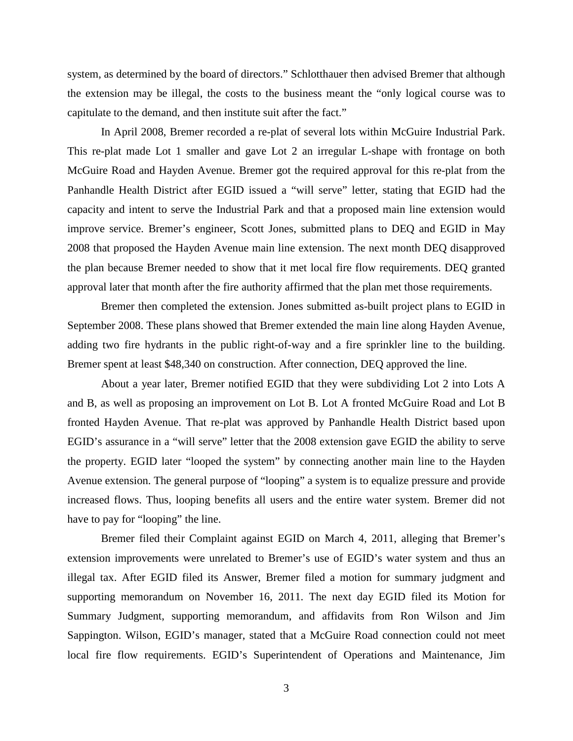system, as determined by the board of directors." Schlotthauer then advised Bremer that although the extension may be illegal, the costs to the business meant the "only logical course was to capitulate to the demand, and then institute suit after the fact."

In April 2008, Bremer recorded a re-plat of several lots within McGuire Industrial Park. This re-plat made Lot 1 smaller and gave Lot 2 an irregular L-shape with frontage on both McGuire Road and Hayden Avenue. Bremer got the required approval for this re-plat from the Panhandle Health District after EGID issued a "will serve" letter, stating that EGID had the capacity and intent to serve the Industrial Park and that a proposed main line extension would improve service. Bremer's engineer, Scott Jones, submitted plans to DEQ and EGID in May 2008 that proposed the Hayden Avenue main line extension. The next month DEQ disapproved the plan because Bremer needed to show that it met local fire flow requirements. DEQ granted approval later that month after the fire authority affirmed that the plan met those requirements.

Bremer then completed the extension. Jones submitted as-built project plans to EGID in September 2008. These plans showed that Bremer extended the main line along Hayden Avenue, adding two fire hydrants in the public right-of-way and a fire sprinkler line to the building. Bremer spent at least \$48,340 on construction. After connection, DEQ approved the line.

About a year later, Bremer notified EGID that they were subdividing Lot 2 into Lots A and B, as well as proposing an improvement on Lot B. Lot A fronted McGuire Road and Lot B fronted Hayden Avenue. That re-plat was approved by Panhandle Health District based upon EGID's assurance in a "will serve" letter that the 2008 extension gave EGID the ability to serve the property. EGID later "looped the system" by connecting another main line to the Hayden Avenue extension. The general purpose of "looping" a system is to equalize pressure and provide increased flows. Thus, looping benefits all users and the entire water system. Bremer did not have to pay for "looping" the line.

Bremer filed their Complaint against EGID on March 4, 2011, alleging that Bremer's extension improvements were unrelated to Bremer's use of EGID's water system and thus an illegal tax. After EGID filed its Answer, Bremer filed a motion for summary judgment and supporting memorandum on November 16, 2011. The next day EGID filed its Motion for Summary Judgment, supporting memorandum, and affidavits from Ron Wilson and Jim Sappington. Wilson, EGID's manager, stated that a McGuire Road connection could not meet local fire flow requirements. EGID's Superintendent of Operations and Maintenance, Jim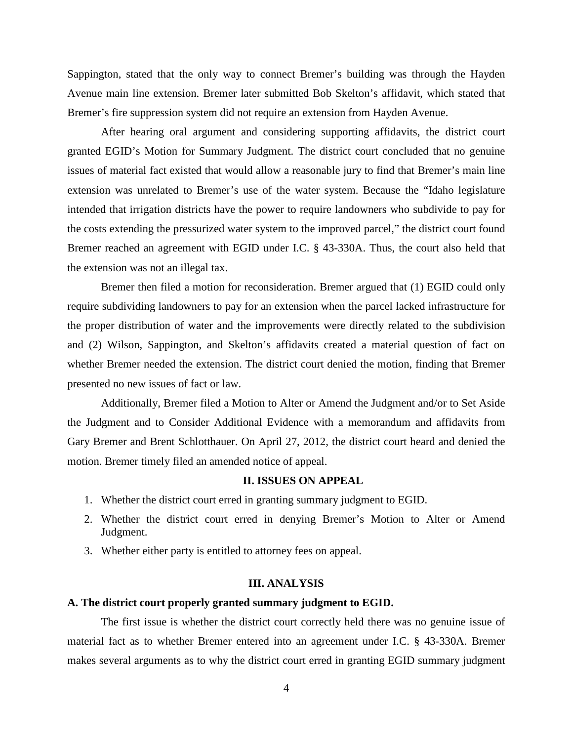Sappington, stated that the only way to connect Bremer's building was through the Hayden Avenue main line extension. Bremer later submitted Bob Skelton's affidavit, which stated that Bremer's fire suppression system did not require an extension from Hayden Avenue.

After hearing oral argument and considering supporting affidavits, the district court granted EGID's Motion for Summary Judgment. The district court concluded that no genuine issues of material fact existed that would allow a reasonable jury to find that Bremer's main line extension was unrelated to Bremer's use of the water system. Because the "Idaho legislature intended that irrigation districts have the power to require landowners who subdivide to pay for the costs extending the pressurized water system to the improved parcel," the district court found Bremer reached an agreement with EGID under I.C. § 43-330A. Thus, the court also held that the extension was not an illegal tax.

Bremer then filed a motion for reconsideration. Bremer argued that (1) EGID could only require subdividing landowners to pay for an extension when the parcel lacked infrastructure for the proper distribution of water and the improvements were directly related to the subdivision and (2) Wilson, Sappington, and Skelton's affidavits created a material question of fact on whether Bremer needed the extension. The district court denied the motion, finding that Bremer presented no new issues of fact or law.

Additionally, Bremer filed a Motion to Alter or Amend the Judgment and/or to Set Aside the Judgment and to Consider Additional Evidence with a memorandum and affidavits from Gary Bremer and Brent Schlotthauer. On April 27, 2012, the district court heard and denied the motion. Bremer timely filed an amended notice of appeal.

#### **II. ISSUES ON APPEAL**

- 1. Whether the district court erred in granting summary judgment to EGID.
- 2. Whether the district court erred in denying Bremer's Motion to Alter or Amend Judgment.
- 3. Whether either party is entitled to attorney fees on appeal.

#### **III. ANALYSIS**

## **A. The district court properly granted summary judgment to EGID.**

The first issue is whether the district court correctly held there was no genuine issue of material fact as to whether Bremer entered into an agreement under I.C. § 43-330A. Bremer makes several arguments as to why the district court erred in granting EGID summary judgment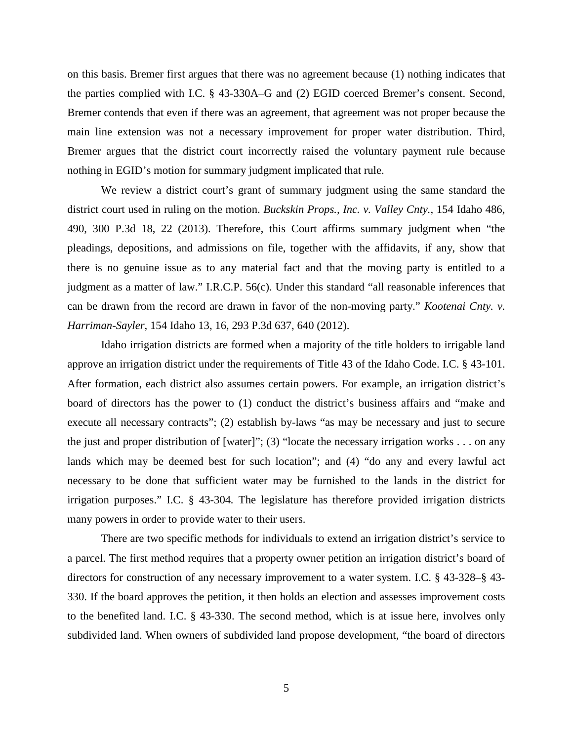on this basis. Bremer first argues that there was no agreement because (1) nothing indicates that the parties complied with I.C. § 43-330A–G and (2) EGID coerced Bremer's consent. Second, Bremer contends that even if there was an agreement, that agreement was not proper because the main line extension was not a necessary improvement for proper water distribution. Third, Bremer argues that the district court incorrectly raised the voluntary payment rule because nothing in EGID's motion for summary judgment implicated that rule.

We review a district court's grant of summary judgment using the same standard the district court used in ruling on the motion. *Buckskin Props., Inc. v. Valley Cnty.*, 154 Idaho 486, 490, 300 P.3d 18, 22 (2013). Therefore, this Court affirms summary judgment when "the pleadings, depositions, and admissions on file, together with the affidavits, if any, show that there is no genuine issue as to any material fact and that the moving party is entitled to a judgment as a matter of law." I.R.C.P. 56(c). Under this standard "all reasonable inferences that can be drawn from the record are drawn in favor of the non-moving party." *Kootenai Cnty. v. Harriman-Sayler*, 154 Idaho 13, 16, 293 P.3d 637, 640 (2012).

Idaho irrigation districts are formed when a majority of the title holders to irrigable land approve an irrigation district under the requirements of Title 43 of the Idaho Code. I.C. § 43-101. After formation, each district also assumes certain powers. For example, an irrigation district's board of directors has the power to (1) conduct the district's business affairs and "make and execute all necessary contracts"; (2) establish by-laws "as may be necessary and just to secure the just and proper distribution of [water]"; (3) "locate the necessary irrigation works . . . on any lands which may be deemed best for such location"; and (4) "do any and every lawful act necessary to be done that sufficient water may be furnished to the lands in the district for irrigation purposes." I.C. § 43-304*.* The legislature has therefore provided irrigation districts many powers in order to provide water to their users.

There are two specific methods for individuals to extend an irrigation district's service to a parcel. The first method requires that a property owner petition an irrigation district's board of directors for construction of any necessary improvement to a water system. I.C. § 43-328–§ 43- 330. If the board approves the petition, it then holds an election and assesses improvement costs to the benefited land. I.C. § 43-330. The second method, which is at issue here, involves only subdivided land. When owners of subdivided land propose development, "the board of directors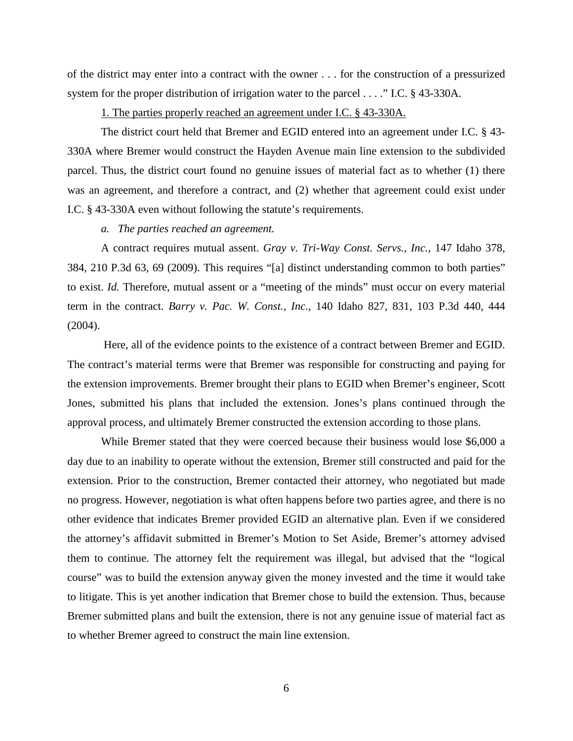of the district may enter into a contract with the owner . . . for the construction of a pressurized system for the proper distribution of irrigation water to the parcel . . . ." I.C. § 43-330A.

1. The parties properly reached an agreement under I.C. § 43-330A.

The district court held that Bremer and EGID entered into an agreement under I.C. § 43- 330A where Bremer would construct the Hayden Avenue main line extension to the subdivided parcel. Thus, the district court found no genuine issues of material fact as to whether (1) there was an agreement, and therefore a contract, and (2) whether that agreement could exist under I.C. § 43-330A even without following the statute's requirements.

#### *a. The parties reached an agreement.*

A contract requires mutual assent. *Gray v. Tri-Way Const. Servs., Inc.*, 147 Idaho 378, 384, 210 P.3d 63, 69 (2009). This requires "[a] distinct understanding common to both parties" to exist. *Id.* Therefore, mutual assent or a "meeting of the minds" must occur on every material term in the contract. *Barry v. Pac. W. Const., Inc*., 140 Idaho 827, 831, 103 P.3d 440, 444  $(2004)$ .

Here, all of the evidence points to the existence of a contract between Bremer and EGID. The contract's material terms were that Bremer was responsible for constructing and paying for the extension improvements. Bremer brought their plans to EGID when Bremer's engineer, Scott Jones, submitted his plans that included the extension. Jones's plans continued through the approval process, and ultimately Bremer constructed the extension according to those plans.

While Bremer stated that they were coerced because their business would lose \$6,000 a day due to an inability to operate without the extension, Bremer still constructed and paid for the extension. Prior to the construction, Bremer contacted their attorney, who negotiated but made no progress. However, negotiation is what often happens before two parties agree, and there is no other evidence that indicates Bremer provided EGID an alternative plan. Even if we considered the attorney's affidavit submitted in Bremer's Motion to Set Aside, Bremer's attorney advised them to continue. The attorney felt the requirement was illegal, but advised that the "logical course" was to build the extension anyway given the money invested and the time it would take to litigate. This is yet another indication that Bremer chose to build the extension. Thus, because Bremer submitted plans and built the extension, there is not any genuine issue of material fact as to whether Bremer agreed to construct the main line extension.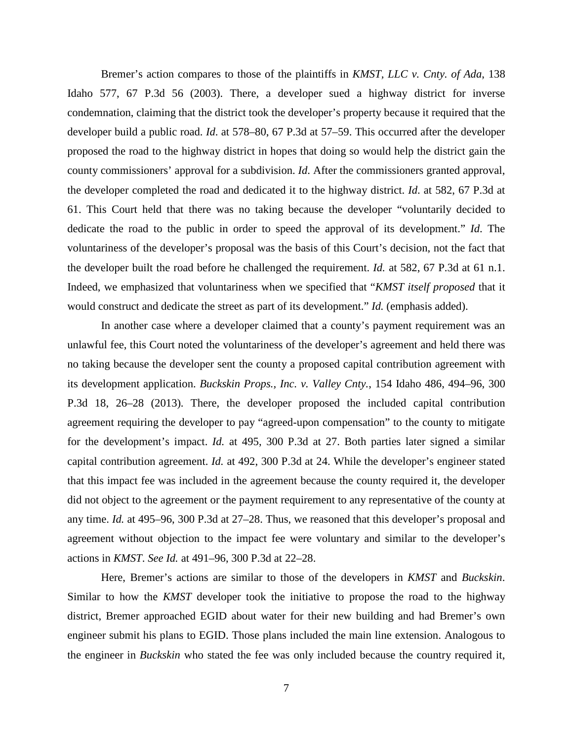Bremer's action compares to those of the plaintiffs in *KMST, LLC v. Cnty. of Ada*, 138 Idaho 577, 67 P.3d 56 (2003). There, a developer sued a highway district for inverse condemnation, claiming that the district took the developer's property because it required that the developer build a public road. *Id*. at 578–80, 67 P.3d at 57–59. This occurred after the developer proposed the road to the highway district in hopes that doing so would help the district gain the county commissioners' approval for a subdivision. *Id*. After the commissioners granted approval, the developer completed the road and dedicated it to the highway district. *Id*. at 582, 67 P.3d at 61. This Court held that there was no taking because the developer "voluntarily decided to dedicate the road to the public in order to speed the approval of its development." *Id*. The voluntariness of the developer's proposal was the basis of this Court's decision, not the fact that the developer built the road before he challenged the requirement. *Id.* at 582, 67 P.3d at 61 n.1. Indeed, we emphasized that voluntariness when we specified that "*KMST itself proposed* that it would construct and dedicate the street as part of its development." *Id.* (emphasis added).

In another case where a developer claimed that a county's payment requirement was an unlawful fee, this Court noted the voluntariness of the developer's agreement and held there was no taking because the developer sent the county a proposed capital contribution agreement with its development application. *Buckskin Props., Inc. v. Valley Cnty.*, 154 Idaho 486, 494–96, 300 P.3d 18, 26–28 (2013). There, the developer proposed the included capital contribution agreement requiring the developer to pay "agreed-upon compensation" to the county to mitigate for the development's impact. *Id.* at 495, 300 P.3d at 27. Both parties later signed a similar capital contribution agreement. *Id.* at 492, 300 P.3d at 24. While the developer's engineer stated that this impact fee was included in the agreement because the county required it, the developer did not object to the agreement or the payment requirement to any representative of the county at any time. *Id.* at 495–96, 300 P.3d at 27–28. Thus, we reasoned that this developer's proposal and agreement without objection to the impact fee were voluntary and similar to the developer's actions in *KMST*. *See Id.* at 491–96, 300 P.3d at 22–28.

Here, Bremer's actions are similar to those of the developers in *KMST* and *Buckskin*. Similar to how the *KMST* developer took the initiative to propose the road to the highway district, Bremer approached EGID about water for their new building and had Bremer's own engineer submit his plans to EGID. Those plans included the main line extension. Analogous to the engineer in *Buckskin* who stated the fee was only included because the country required it,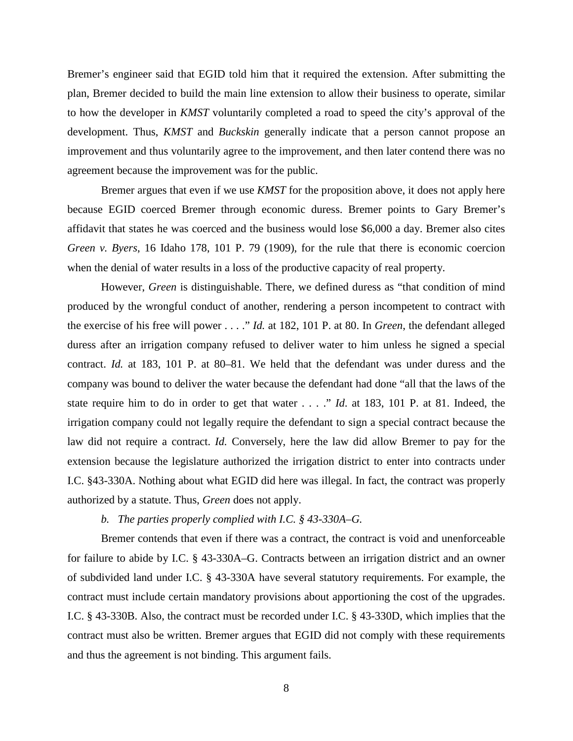Bremer's engineer said that EGID told him that it required the extension. After submitting the plan, Bremer decided to build the main line extension to allow their business to operate, similar to how the developer in *KMST* voluntarily completed a road to speed the city's approval of the development. Thus, *KMST* and *Buckskin* generally indicate that a person cannot propose an improvement and thus voluntarily agree to the improvement, and then later contend there was no agreement because the improvement was for the public.

Bremer argues that even if we use *KMST* for the proposition above, it does not apply here because EGID coerced Bremer through economic duress. Bremer points to Gary Bremer's affidavit that states he was coerced and the business would lose \$6,000 a day. Bremer also cites *Green v. Byers*, 16 Idaho 178, 101 P. 79 (1909), for the rule that there is economic coercion when the denial of water results in a loss of the productive capacity of real property.

However, *Green* is distinguishable. There, we defined duress as "that condition of mind produced by the wrongful conduct of another, rendering a person incompetent to contract with the exercise of his free will power . . . ." *Id.* at 182, 101 P. at 80. In *Green*, the defendant alleged duress after an irrigation company refused to deliver water to him unless he signed a special contract. *Id.* at 183, 101 P. at 80–81. We held that the defendant was under duress and the company was bound to deliver the water because the defendant had done "all that the laws of the state require him to do in order to get that water . . . ." *Id*. at 183, 101 P. at 81. Indeed, the irrigation company could not legally require the defendant to sign a special contract because the law did not require a contract. *Id.* Conversely, here the law did allow Bremer to pay for the extension because the legislature authorized the irrigation district to enter into contracts under I.C. §43-330A. Nothing about what EGID did here was illegal. In fact, the contract was properly authorized by a statute. Thus, *Green* does not apply.

## *b. The parties properly complied with I.C. § 43-330A–G.*

Bremer contends that even if there was a contract, the contract is void and unenforceable for failure to abide by I.C. § 43-330A–G. Contracts between an irrigation district and an owner of subdivided land under I.C. § 43-330A have several statutory requirements. For example, the contract must include certain mandatory provisions about apportioning the cost of the upgrades. I.C. § 43-330B. Also, the contract must be recorded under I.C. § 43-330D, which implies that the contract must also be written. Bremer argues that EGID did not comply with these requirements and thus the agreement is not binding. This argument fails.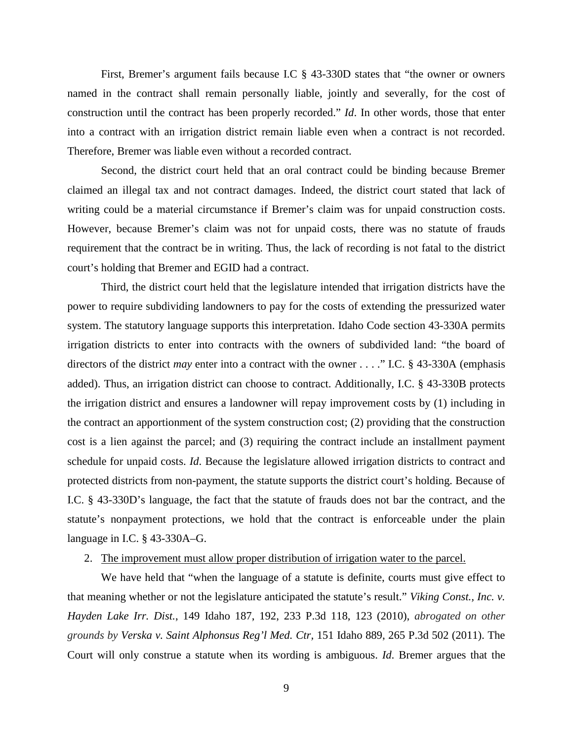First, Bremer's argument fails because I.C § 43-330D states that "the owner or owners named in the contract shall remain personally liable, jointly and severally, for the cost of construction until the contract has been properly recorded." *Id*. In other words, those that enter into a contract with an irrigation district remain liable even when a contract is not recorded. Therefore, Bremer was liable even without a recorded contract.

Second, the district court held that an oral contract could be binding because Bremer claimed an illegal tax and not contract damages. Indeed, the district court stated that lack of writing could be a material circumstance if Bremer's claim was for unpaid construction costs. However, because Bremer's claim was not for unpaid costs, there was no statute of frauds requirement that the contract be in writing. Thus, the lack of recording is not fatal to the district court's holding that Bremer and EGID had a contract.

Third, the district court held that the legislature intended that irrigation districts have the power to require subdividing landowners to pay for the costs of extending the pressurized water system. The statutory language supports this interpretation. Idaho Code section 43-330A permits irrigation districts to enter into contracts with the owners of subdivided land: "the board of directors of the district *may* enter into a contract with the owner . . . ." I.C. § 43-330A (emphasis added). Thus, an irrigation district can choose to contract. Additionally, I.C. § 43-330B protects the irrigation district and ensures a landowner will repay improvement costs by (1) including in the contract an apportionment of the system construction cost; (2) providing that the construction cost is a lien against the parcel; and (3) requiring the contract include an installment payment schedule for unpaid costs. *Id*. Because the legislature allowed irrigation districts to contract and protected districts from non-payment, the statute supports the district court's holding. Because of I.C. § 43-330D's language, the fact that the statute of frauds does not bar the contract, and the statute's nonpayment protections, we hold that the contract is enforceable under the plain language in I.C. § 43-330A–G.

#### 2. The improvement must allow proper distribution of irrigation water to the parcel.

We have held that "when the language of a statute is definite, courts must give effect to that meaning whether or not the legislature anticipated the statute's result." *Viking Const., Inc. v. Hayden Lake Irr. Dist.*, 149 Idaho 187, 192, 233 P.3d 118, 123 (2010), *abrogated on other grounds by [Verska v. Saint Alphonsus Reg'l Med. Ctr,](https://a.next.westlaw.com/Link/Document/FullText?findType=Y&serNum=2026475759&pubNum=4645&originationContext=document&transitionType=DocumentItem&contextData=(sc.Keycite))* 151 Idaho 889, 265 P.3d 502 (2011). The Court will only construe a statute when its wording is ambiguous. *Id*. Bremer argues that the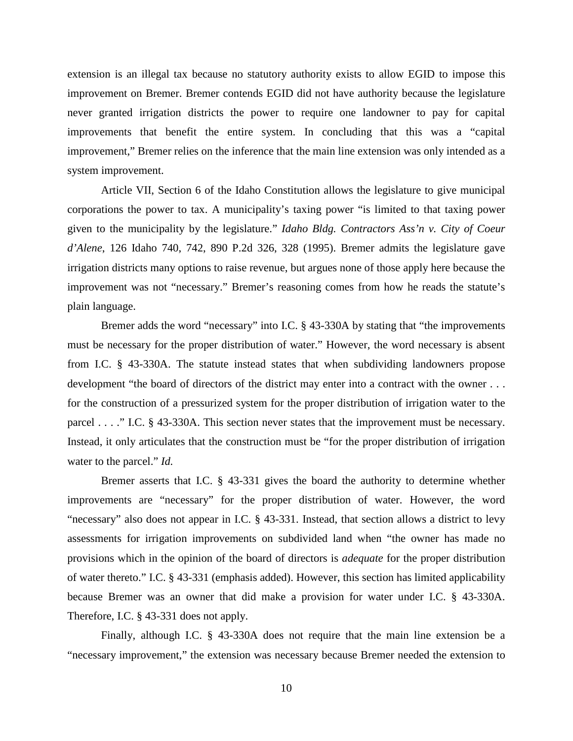extension is an illegal tax because no statutory authority exists to allow EGID to impose this improvement on Bremer. Bremer contends EGID did not have authority because the legislature never granted irrigation districts the power to require one landowner to pay for capital improvements that benefit the entire system. In concluding that this was a "capital improvement," Bremer relies on the inference that the main line extension was only intended as a system improvement.

Article VII, Section 6 of the Idaho Constitution allows the legislature to give municipal corporations the power to tax. A municipality's taxing power "is limited to that taxing power given to the municipality by the legislature." *Idaho Bldg. Contractors Ass'n v. City of Coeur d'Alene*, 126 Idaho 740, 742, 890 P.2d 326, 328 (1995). Bremer admits the legislature gave irrigation districts many options to raise revenue, but argues none of those apply here because the improvement was not "necessary." Bremer's reasoning comes from how he reads the statute's plain language.

Bremer adds the word "necessary" into I.C. § 43-330A by stating that "the improvements" must be necessary for the proper distribution of water." However, the word necessary is absent from I.C. § 43-330A. The statute instead states that when subdividing landowners propose development "the board of directors of the district may enter into a contract with the owner . . . for the construction of a pressurized system for the proper distribution of irrigation water to the parcel . . . ." I.C. § 43-330A. This section never states that the improvement must be necessary. Instead, it only articulates that the construction must be "for the proper distribution of irrigation water to the parcel." *Id.*

Bremer asserts that I.C. § 43-331 gives the board the authority to determine whether improvements are "necessary" for the proper distribution of water. However, the word "necessary" also does not appear in I.C. § 43-331. Instead, that section allows a district to levy assessments for irrigation improvements on subdivided land when "the owner has made no provisions which in the opinion of the board of directors is *adequate* for the proper distribution of water thereto." I.C. § 43-331 (emphasis added). However, this section has limited applicability because Bremer was an owner that did make a provision for water under I.C. § 43-330A. Therefore, I.C. § 43-331 does not apply.

Finally, although I.C. § 43-330A does not require that the main line extension be a "necessary improvement," the extension was necessary because Bremer needed the extension to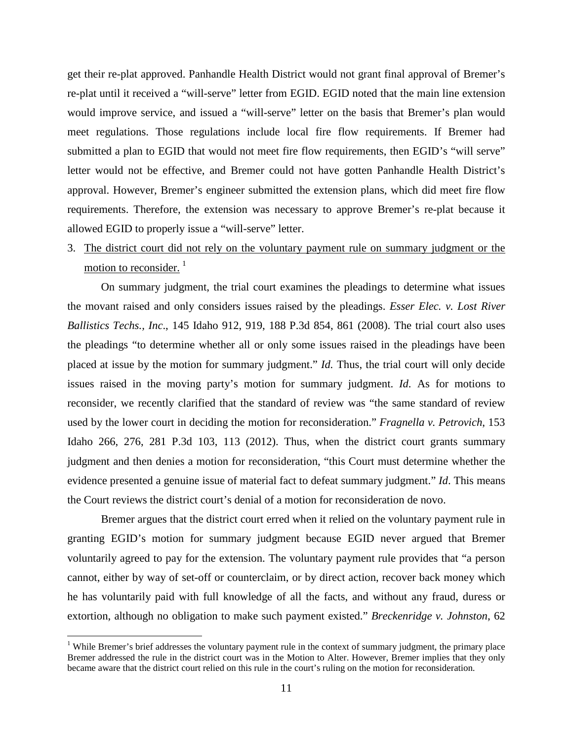get their re-plat approved. Panhandle Health District would not grant final approval of Bremer's re-plat until it received a "will-serve" letter from EGID. EGID noted that the main line extension would improve service, and issued a "will-serve" letter on the basis that Bremer's plan would meet regulations. Those regulations include local fire flow requirements. If Bremer had submitted a plan to EGID that would not meet fire flow requirements, then EGID's "will serve" letter would not be effective, and Bremer could not have gotten Panhandle Health District's approval. However, Bremer's engineer submitted the extension plans, which did meet fire flow requirements. Therefore, the extension was necessary to approve Bremer's re-plat because it allowed EGID to properly issue a "will-serve" letter.

# 3. The district court did not rely on the voluntary payment rule on summary judgment or the motion to reconsider.<sup>[1](#page-10-0)</sup>

On summary judgment, the trial court examines the pleadings to determine what issues the movant raised and only considers issues raised by the pleadings. *Esser Elec. v. Lost River Ballistics Techs., Inc*., 145 Idaho 912, 919, 188 P.3d 854, 861 (2008). The trial court also uses the pleadings "to determine whether all or only some issues raised in the pleadings have been placed at issue by the motion for summary judgment." *Id.* Thus, the trial court will only decide issues raised in the moving party's motion for summary judgment. *Id.* As for motions to reconsider, we recently clarified that the standard of review was "the same standard of review used by the lower court in deciding the motion for reconsideration." *Fragnella v. Petrovich*, 153 Idaho 266, 276, 281 P.3d 103, 113 (2012). Thus, when the district court grants summary judgment and then denies a motion for reconsideration, "this Court must determine whether the evidence presented a genuine issue of material fact to defeat summary judgment." *Id*. This means the Court reviews the district court's denial of a motion for reconsideration de novo.

Bremer argues that the district court erred when it relied on the voluntary payment rule in granting EGID's motion for summary judgment because EGID never argued that Bremer voluntarily agreed to pay for the extension. The voluntary payment rule provides that "a person cannot, either by way of set-off or counterclaim, or by direct action, recover back money which he has voluntarily paid with full knowledge of all the facts, and without any fraud, duress or extortion, although no obligation to make such payment existed." *Breckenridge v. Johnston*, 62

<span id="page-10-0"></span><sup>&</sup>lt;sup>1</sup> While Bremer's brief addresses the voluntary payment rule in the context of summary judgment, the primary place Bremer addressed the rule in the district court was in the Motion to Alter. However, Bremer implies that they only became aware that the district court relied on this rule in the court's ruling on the motion for reconsideration.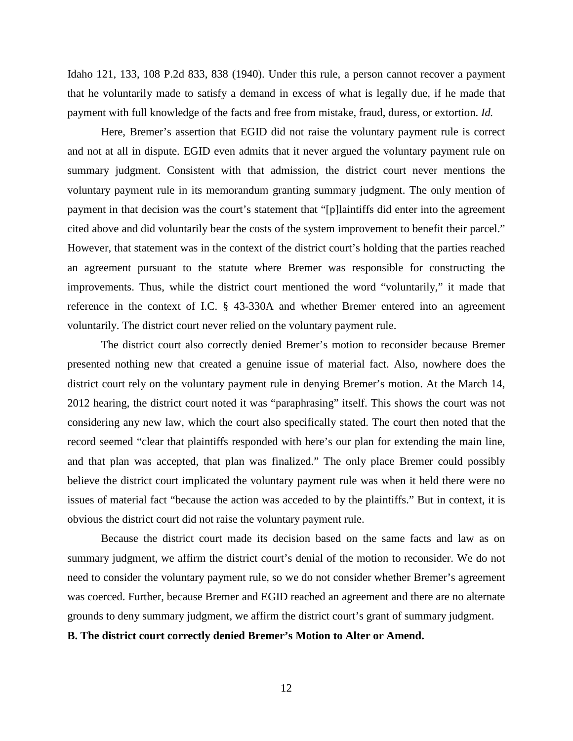Idaho 121, 133, 108 P.2d 833, 838 (1940). Under this rule, a person cannot recover a payment that he voluntarily made to satisfy a demand in excess of what is legally due, if he made that payment with full knowledge of the facts and free from mistake, fraud, duress, or extortion. *Id.*

Here, Bremer's assertion that EGID did not raise the voluntary payment rule is correct and not at all in dispute. EGID even admits that it never argued the voluntary payment rule on summary judgment. Consistent with that admission, the district court never mentions the voluntary payment rule in its memorandum granting summary judgment. The only mention of payment in that decision was the court's statement that "[p]laintiffs did enter into the agreement cited above and did voluntarily bear the costs of the system improvement to benefit their parcel." However, that statement was in the context of the district court's holding that the parties reached an agreement pursuant to the statute where Bremer was responsible for constructing the improvements. Thus, while the district court mentioned the word "voluntarily," it made that reference in the context of I.C. § 43-330A and whether Bremer entered into an agreement voluntarily. The district court never relied on the voluntary payment rule.

The district court also correctly denied Bremer's motion to reconsider because Bremer presented nothing new that created a genuine issue of material fact. Also, nowhere does the district court rely on the voluntary payment rule in denying Bremer's motion. At the March 14, 2012 hearing, the district court noted it was "paraphrasing" itself. This shows the court was not considering any new law, which the court also specifically stated. The court then noted that the record seemed "clear that plaintiffs responded with here's our plan for extending the main line, and that plan was accepted, that plan was finalized." The only place Bremer could possibly believe the district court implicated the voluntary payment rule was when it held there were no issues of material fact "because the action was acceded to by the plaintiffs." But in context, it is obvious the district court did not raise the voluntary payment rule.

Because the district court made its decision based on the same facts and law as on summary judgment, we affirm the district court's denial of the motion to reconsider. We do not need to consider the voluntary payment rule, so we do not consider whether Bremer's agreement was coerced. Further, because Bremer and EGID reached an agreement and there are no alternate grounds to deny summary judgment, we affirm the district court's grant of summary judgment.

## **B. The district court correctly denied Bremer's Motion to Alter or Amend.**

12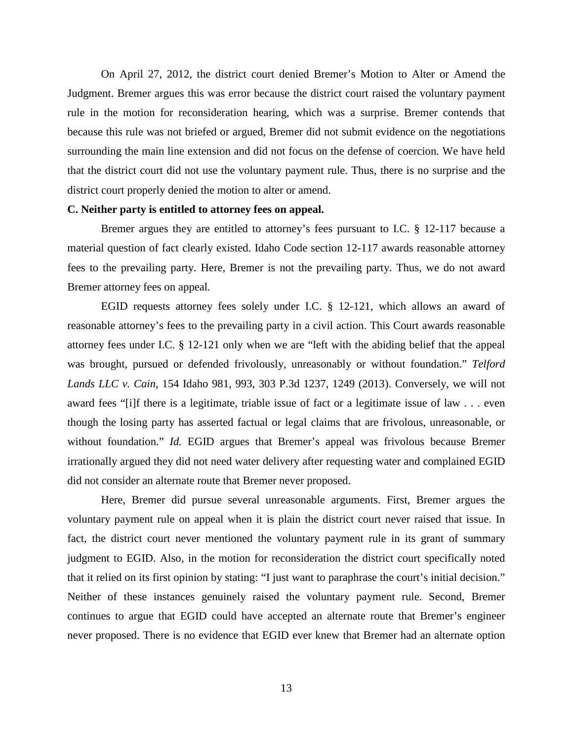On April 27, 2012, the district court denied Bremer's Motion to Alter or Amend the Judgment. Bremer argues this was error because the district court raised the voluntary payment rule in the motion for reconsideration hearing, which was a surprise. Bremer contends that because this rule was not briefed or argued, Bremer did not submit evidence on the negotiations surrounding the main line extension and did not focus on the defense of coercion. We have held that the district court did not use the voluntary payment rule. Thus, there is no surprise and the district court properly denied the motion to alter or amend.

### **C. Neither party is entitled to attorney fees on appeal.**

Bremer argues they are entitled to attorney's fees pursuant to I.C. § 12-117 because a material question of fact clearly existed. Idaho Code section 12-117 awards reasonable attorney fees to the prevailing party. Here, Bremer is not the prevailing party. Thus, we do not award Bremer attorney fees on appeal.

EGID requests attorney fees solely under I.C. § 12-121, which allows an award of reasonable attorney's fees to the prevailing party in a civil action. This Court awards reasonable attorney fees under I.C. § 12-121 only when we are "left with the abiding belief that the appeal was brought, pursued or defended frivolously, unreasonably or without foundation." *Telford Lands LLC v. Cain*, 154 Idaho 981, 993, 303 P.3d 1237, 1249 (2013). Conversely, we will not award fees "[i]f there is a legitimate, triable issue of fact or a legitimate issue of law . . . even though the losing party has asserted factual or legal claims that are frivolous, unreasonable, or without foundation." *Id.* EGID argues that Bremer's appeal was frivolous because Bremer irrationally argued they did not need water delivery after requesting water and complained EGID did not consider an alternate route that Bremer never proposed.

Here, Bremer did pursue several unreasonable arguments. First, Bremer argues the voluntary payment rule on appeal when it is plain the district court never raised that issue. In fact, the district court never mentioned the voluntary payment rule in its grant of summary judgment to EGID. Also, in the motion for reconsideration the district court specifically noted that it relied on its first opinion by stating: "I just want to paraphrase the court's initial decision." Neither of these instances genuinely raised the voluntary payment rule. Second, Bremer continues to argue that EGID could have accepted an alternate route that Bremer's engineer never proposed. There is no evidence that EGID ever knew that Bremer had an alternate option